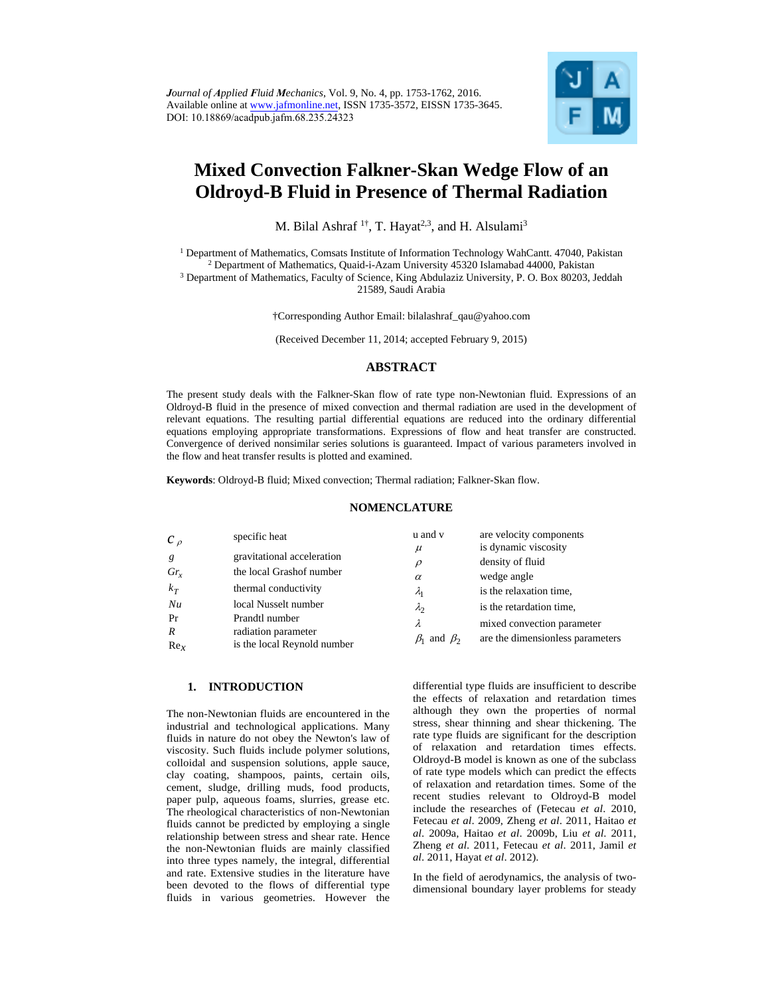

# **Mixed Convection Falkner-Skan Wedge Flow of an Oldroyd-B Fluid in Presence of Thermal Radiation**

M. Bilal Ashraf<sup>1†</sup>, T. Hayat<sup>2,3</sup>, and H. Alsulami<sup>3</sup>

<sup>1</sup> Department of Mathematics, Comsats Institute of Information Technology WahCantt. 47040, Pakistan <sup>2</sup> Department of Mathematics, Quaid-i-Azam University 45320 Islamabad 44000, Pakistan Department of Mathematics, Quaid-i-Azam University 45320 Islamabad 44000, Pakistan 3

<sup>3</sup> Department of Mathematics, Faculty of Science, King Abdulaziz University, P. O. Box 80203, Jeddah 21589, Saudi Arabia

†Corresponding Author Email: bilalashraf\_qau@yahoo.com

(Received December 11, 2014; accepted February 9, 2015)

## **ABSTRACT**

The present study deals with the Falkner-Skan flow of rate type non-Newtonian fluid. Expressions of an Oldroyd-B fluid in the presence of mixed convection and thermal radiation are used in the development of relevant equations. The resulting partial differential equations are reduced into the ordinary differential equations employing appropriate transformations. Expressions of flow and heat transfer are constructed. Convergence of derived nonsimilar series solutions is guaranteed. Impact of various parameters involved in the flow and heat transfer results is plotted and examined.

**Keywords**: Oldroyd-B fluid; Mixed convection; Thermal radiation; Falkner-Skan flow.

#### **NOMENCLATURE**

| $c_{\rho}$      | specific heat               | u and v                   | are velocity components          |
|-----------------|-----------------------------|---------------------------|----------------------------------|
| g               | gravitational acceleration  | $\mu$                     | is dynamic viscosity             |
| $Gr_r$          | the local Grashof number    | $\rho$                    | density of fluid<br>wedge angle  |
| $k_T$           | thermal conductivity        | $\alpha$<br>$\lambda_{1}$ | is the relaxation time,          |
| Nu              | local Nusselt number        | $\lambda_2$               | is the retardation time,         |
| Pr              | Prandtl number              | λ                         | mixed convection parameter       |
| $\overline{R}$  | radiation parameter         | $\beta_1$ and $\beta_2$   | are the dimensionless parameters |
| Re <sub>x</sub> | is the local Reynold number |                           |                                  |

#### **1. INTRODUCTION**

The non-Newtonian fluids are encountered in the industrial and technological applications. Many fluids in nature do not obey the Newton's law of viscosity. Such fluids include polymer solutions, colloidal and suspension solutions, apple sauce, clay coating, shampoos, paints, certain oils, cement, sludge, drilling muds, food products, paper pulp, aqueous foams, slurries, grease etc. The rheological characteristics of non-Newtonian fluids cannot be predicted by employing a single relationship between stress and shear rate. Hence the non-Newtonian fluids are mainly classified into three types namely, the integral, differential and rate. Extensive studies in the literature have been devoted to the flows of differential type fluids in various geometries. However the

differential type fluids are insufficient to describe the effects of relaxation and retardation times although they own the properties of normal stress, shear thinning and shear thickening. The rate type fluids are significant for the description of relaxation and retardation times effects. Oldroyd-B model is known as one of the subclass of rate type models which can predict the effects of relaxation and retardation times. Some of the recent studies relevant to Oldroyd-B model include the researches of (Fetecau *et al*. 2010, Fetecau *et al*. 2009, Zheng *et al*. 2011, Haitao *et al*. 2009a, Haitao *et al*. 2009b, Liu *et al*. 2011, Zheng *et al*. 2011, Fetecau *et al*. 2011, Jamil *et al*. 2011, Hayat *et al*. 2012).

In the field of aerodynamics, the analysis of twodimensional boundary layer problems for steady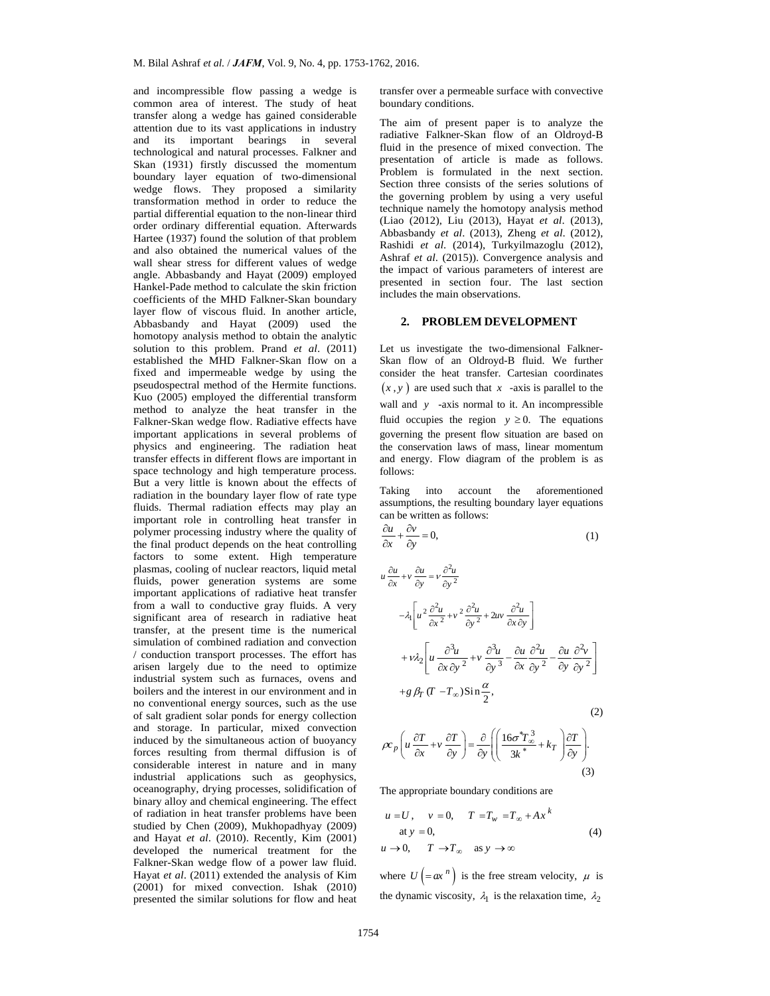and incompressible flow passing a wedge is common area of interest. The study of heat transfer along a wedge has gained considerable attention due to its vast applications in industry and its important bearings in several technological and natural processes. Falkner and Skan (1931) firstly discussed the momentum boundary layer equation of two-dimensional wedge flows. They proposed a similarity transformation method in order to reduce the partial differential equation to the non-linear third order ordinary differential equation. Afterwards Hartee (1937) found the solution of that problem and also obtained the numerical values of the wall shear stress for different values of wedge angle. Abbasbandy and Hayat (2009) employed Hankel-Pade method to calculate the skin friction coefficients of the MHD Falkner-Skan boundary layer flow of viscous fluid. In another article, Abbasbandy and Hayat (2009) used the homotopy analysis method to obtain the analytic solution to this problem. Prand *et al*. (2011) established the MHD Falkner-Skan flow on a fixed and impermeable wedge by using the pseudospectral method of the Hermite functions. Kuo (2005) employed the differential transform method to analyze the heat transfer in the Falkner-Skan wedge flow. Radiative effects have important applications in several problems of physics and engineering. The radiation heat transfer effects in different flows are important in space technology and high temperature process. But a very little is known about the effects of radiation in the boundary layer flow of rate type fluids. Thermal radiation effects may play an important role in controlling heat transfer in polymer processing industry where the quality of the final product depends on the heat controlling factors to some extent. High temperature plasmas, cooling of nuclear reactors, liquid metal fluids, power generation systems are some important applications of radiative heat transfer from a wall to conductive gray fluids. A very significant area of research in radiative heat transfer, at the present time is the numerical simulation of combined radiation and convection / conduction transport processes. The effort has arisen largely due to the need to optimize industrial system such as furnaces, ovens and boilers and the interest in our environment and in no conventional energy sources, such as the use of salt gradient solar ponds for energy collection and storage. In particular, mixed convection induced by the simultaneous action of buoyancy forces resulting from thermal diffusion is of considerable interest in nature and in many industrial applications such as geophysics, oceanography, drying processes, solidification of binary alloy and chemical engineering. The effect of radiation in heat transfer problems have been studied by Chen (2009), Mukhopadhyay (2009) and Hayat *et al*. (2010). Recently, Kim (2001) developed the numerical treatment for the Falkner-Skan wedge flow of a power law fluid. Hayat *et al*. (2011) extended the analysis of Kim (2001) for mixed convection. Ishak (2010) presented the similar solutions for flow and heat transfer over a permeable surface with convective boundary conditions.

The aim of present paper is to analyze the radiative Falkner-Skan flow of an Oldroyd-B fluid in the presence of mixed convection. The presentation of article is made as follows. Problem is formulated in the next section. Section three consists of the series solutions of the governing problem by using a very useful technique namely the homotopy analysis method (Liao (2012), Liu (2013), Hayat *et al*. (2013), Abbasbandy *et al*. (2013), Zheng *et al*. (2012), Rashidi *et al*. (2014), Turkyilmazoglu (2012), Ashraf *et al*. (2015)). Convergence analysis and the impact of various parameters of interest are presented in section four. The last section includes the main observations.

#### **2. PROBLEM DEVELOPMENT**

Let us investigate the two-dimensional Falkner-Skan flow of an Oldroyd-B fluid. We further consider the heat transfer. Cartesian coordinates  $(x, y)$  are used such that  $x$  -axis is parallel to the wall and *y* -axis normal to it. An incompressible fluid occupies the region  $y \ge 0$ . The equations governing the present flow situation are based on the conservation laws of mass, linear momentum and energy. Flow diagram of the problem is as follows:

Taking into account the aforementioned assumptions, the resulting boundary layer equations can be written as follows:

$$
\frac{\partial u}{\partial x} + \frac{\partial v}{\partial y} = 0,\tag{1}
$$

$$
u \frac{\partial u}{\partial x} + v \frac{\partial u}{\partial y} = v \frac{\partial^2 u}{\partial y^2}
$$
  
\n
$$
- \lambda_1 \left[ u^2 \frac{\partial^2 u}{\partial x^2} + v^2 \frac{\partial^2 u}{\partial y^2} + 2uv \frac{\partial^2 u}{\partial x \partial y} \right]
$$
  
\n
$$
+ v \lambda_2 \left[ u \frac{\partial^3 u}{\partial x \partial y^2} + v \frac{\partial^3 u}{\partial y^3} - \frac{\partial u}{\partial x} \frac{\partial^2 u}{\partial y^2} - \frac{\partial u}{\partial y} \frac{\partial^2 v}{\partial y^2} \right]
$$
  
\n
$$
+ g \beta_T (T - T_\infty) \sin \frac{\alpha}{2},
$$
  
\n
$$
\rho c_p \left( u \frac{\partial T}{\partial x} + v \frac{\partial T}{\partial y} \right) = \frac{\partial}{\partial y} \left( \left( \frac{16\sigma^* T_\infty^3}{3k^*} + k_T \right) \frac{\partial T}{\partial y} \right).
$$
  
\n(3)

The appropriate boundary conditions are

$$
u = U, \quad v = 0, \quad T = T_w = T_{\infty} + Ax^{k}
$$
  
at  $y = 0$ ,  
 $u \rightarrow 0$ ,  $T \rightarrow T_{\infty}$  as  $y \rightarrow \infty$  (4)

where  $U = ax^n$  is the free stream velocity,  $\mu$  is the dynamic viscosity,  $\lambda_1$  is the relaxation time,  $\lambda_2$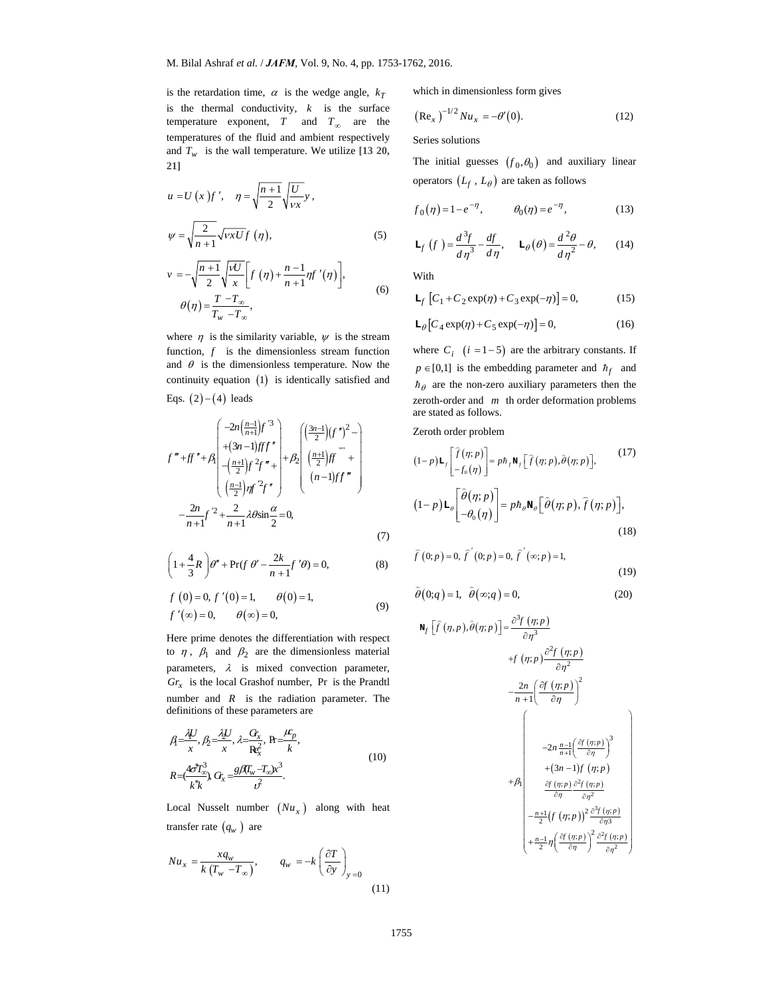is the retardation time,  $\alpha$  is the wedge angle,  $k_T$ is the thermal conductivity, *k* is the surface temperature exponent,  $T$  and  $T_{\infty}$  are the temperatures of the fluid and ambient respectively and  $T_w$  is the wall temperature. We utilize [13 20, **21]**

$$
u = U(x)f', \quad \eta = \sqrt{\frac{n+1}{2}}\sqrt{\frac{U}{vx}}y,
$$
  
\n
$$
\psi = \sqrt{\frac{2}{n+1}}\sqrt{vxU}f(\eta),
$$
\n
$$
v = -\sqrt{\frac{n+1}{2}}\sqrt{\frac{vU}{x}}\left[f(\eta) + \frac{n-1}{n+1}\eta f'(\eta)\right],
$$
\n
$$
\theta(\eta) = \frac{T-T_{\infty}}{T_w - T_{\infty}},
$$
\n(6)

where  $\eta$  is the similarity variable,  $\psi$  is the stream function, *f* is the dimensionless stream function and  $\theta$  is the dimensionless temperature. Now the continuity equation  $(1)$  is identically satisfied and Eqs.  $(2) - (4)$  leads

*w*

$$
f''' + ff'' + \beta \begin{pmatrix} -2n\left(\frac{n-1}{n+1}\right)f'^3\\ +(3n-1)fff''\\ +\left(\frac{n+1}{2}\right)f^2f'' + \beta \begin{pmatrix} \left(\frac{3n-1}{2}\right)(f'')^2 - \\ \left(\frac{n+1}{2}\right)f'' \\ \left(\frac{n-1}{2}\right)ff' \\ \left(\frac{n-1}{2}\right)ff'\right) & (n-1)ff'' \end{pmatrix} \\ -\frac{2n}{n+1}f'^2 + \frac{2}{n+1}\lambda \theta \sin \frac{\alpha}{2} = 0, \tag{7}
$$

$$
\left(1+\frac{4}{3}R\right)\theta'' + \Pr(f\ \theta' - \frac{2k}{n+1}f'\theta) = 0,\tag{8}
$$

$$
f(0) = 0, f'(0) = 1,
$$
  $\theta(0) = 1,$   
\n $f'(\infty) = 0,$   $\theta(\infty) = 0,$  (9)

Here prime denotes the differentiation with respect to  $\eta$ ,  $\beta_1$  and  $\beta_2$  are the dimensionless material parameters,  $\lambda$  is mixed convection parameter,  $Gr<sub>x</sub>$  is the local Grashof number, Pr is the Prandtl number and *R* is the radiation parameter. The definitions of these parameters are

$$
\beta = \frac{\lambda U}{x}, \beta = \frac{\lambda U}{x}, \lambda = \frac{G_x}{R_x^2}, R = \frac{\mu_p}{k},
$$
\n
$$
R = \frac{4\sigma^2 T_{\infty}^3}{k^* k}, G_x = \frac{g}{\mu} \frac{G_x}{k^2}.
$$
\n(10)

Local Nusselt number  $(Nu_x)$  along with heat transfer rate  $(q_w)$  are

$$
Nu_x = \frac{xq_w}{k(T_w - T_\infty)}, \qquad q_w = -k\left(\frac{\partial T}{\partial y}\right)_{y=0}
$$
\n(11)

which in dimensionless form gives

$$
(\text{Re}_x)^{-1/2}Nu_x = -\theta'(0). \tag{12}
$$

Series solutions

The initial guesses  $(f_0, \theta_0)$  and auxiliary linear operators  $(L_f, L_\theta)$  are taken as follows

$$
f_0(\eta) = 1 - e^{-\eta}, \qquad \theta_0(\eta) = e^{-\eta},
$$
 (13)

$$
\mathbf{L}_f \left( f \right) = \frac{d^3 f}{d \eta^3} - \frac{df}{d \eta}, \quad \mathbf{L}_\theta(\theta) = \frac{d^2 \theta}{d \eta^2} - \theta, \qquad (14)
$$

With

$$
\mathbf{L}_f \left[ C_1 + C_2 \exp(\eta) + C_3 \exp(-\eta) \right] = 0,\tag{15}
$$

$$
\mathbf{L}_{\theta}\left[C_{4}\exp(\eta) + C_{5}\exp(-\eta)\right] = 0, \tag{16}
$$

where  $C_i$   $(i = 1-5)$  are the arbitrary constants. If  $p \in [0,1]$  is the embedding parameter and  $\hbar_f$  and  $\hbar$ <sup> $\theta$ </sup> are the non-zero auxiliary parameters then the zeroth-order and *m* th order deformation problems are stated as follows.

Zeroth order problem

$$
(1-p)\mathbf{L}_{f}\begin{bmatrix} \widehat{f}(\eta;p) \\ -f_{0}(\eta) \end{bmatrix} = p\hbar_{f}\mathbf{N}_{f}\Big[\widehat{f}(\eta;p),\widehat{\theta}(\eta;p)\Big],\tag{17}
$$

$$
(1-p)\mathbf{L}_{\theta}\begin{bmatrix} \widehat{\theta}(\eta;p) \\ -\theta_{0}(\eta) \end{bmatrix} = p\hbar_{\theta}\mathbf{N}_{\theta}\Big[\widehat{\theta}(\eta;p),\widehat{f}(\eta;p)\Big],\tag{18}
$$

$$
\hat{f}(0; p) = 0, \ \hat{f}'(0; p) = 0, \ \hat{f}'(\infty; p) = 1,
$$
\n(19)

$$
\hat{\theta}(0;q) = 1, \ \hat{\theta}(\infty;q) = 0,
$$
\n(20)

$$
\mathbf{N}_{f}\left[\hat{f}(\eta,p),\hat{\theta}(\eta;p)\right] = \frac{\partial^{3} f(\eta;p)}{\partial \eta^{3}}
$$
\n
$$
+f(\eta;p)\frac{\partial^{2} f(\eta;p)}{\partial \eta^{2}}
$$
\n
$$
-\frac{2n}{n+1}\left(\frac{\partial f(\eta;p)}{\partial \eta}\right)^{2}
$$
\n
$$
+2n \frac{n-1}{n+1}\left(\frac{\partial f(\eta;p)}{\partial \eta}\right)^{3}
$$
\n
$$
+(3n-1)f(\eta;p)
$$
\n
$$
+B_{1}\n\frac{\partial f(\eta;p)}{\partial \eta} \frac{\partial^{2} f(\eta;p)}{\partial \eta^{2}}
$$
\n
$$
-\frac{n+1}{2}\left(f(\eta;p)\right)^{2} \frac{\partial^{3} f(\eta;p)}{\partial \eta^{3}}
$$
\n
$$
+\frac{n-1}{2}\eta\left(\frac{\partial f(\eta;p)}{\partial \eta}\right)^{2} \frac{\partial^{2} f(\eta;p)}{\partial \eta^{2}}
$$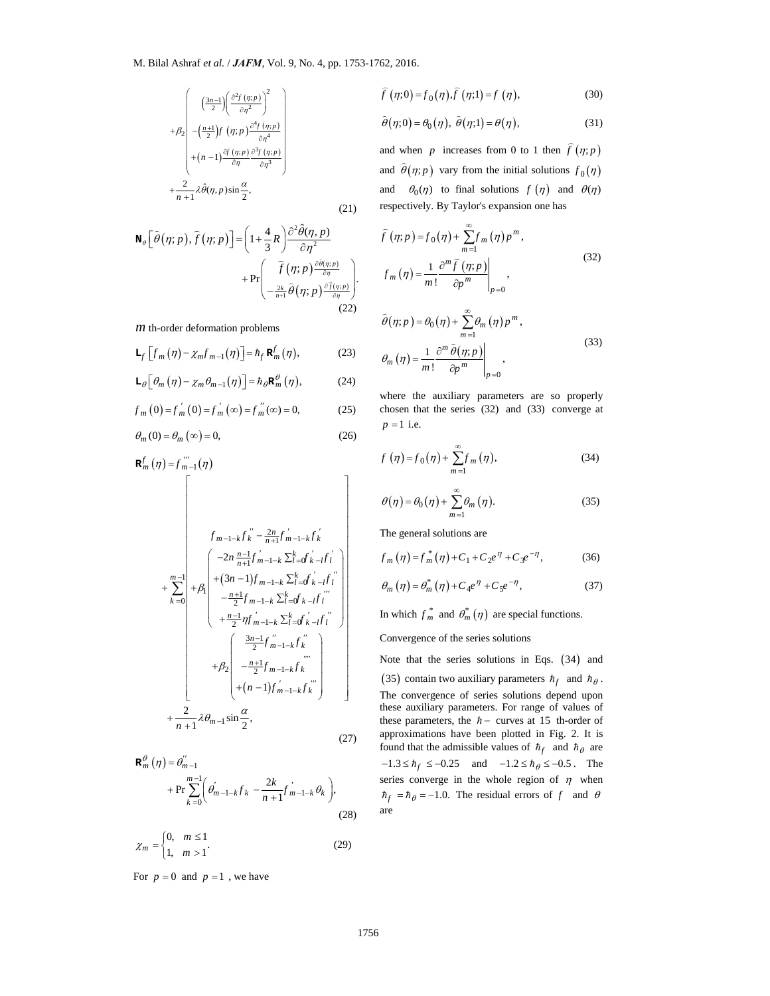$$
+\beta_2\begin{pmatrix}\left(\frac{3n-1}{2}\right)\left(\frac{\partial^2 f(p;p)}{\partial r^2}\right)^2\\-\left(\frac{n+1}{2}\right)f(p;p)\frac{\partial^4 f(p;p)}{\partial r^4}\\+\left(n-1\right)\frac{\partial f(p;p)}{\partial r}\frac{\partial^3 f(p;p)}{\partial r^3}\\+\frac{2}{n+1}\lambda\hat{\theta}(\eta,p)\sin\frac{\alpha}{2},\end{pmatrix}
$$

$$
(21)
$$

$$
\mathbf{N}_{\theta}\left[\hat{\theta}(\eta;p),\hat{f}(\eta;p)\right]=\left(1+\frac{4}{3}R\right)\frac{\partial^{2}\hat{\theta}(\eta,p)}{\partial\eta^{2}} + \Pr\left(\frac{\hat{f}(\eta;p)\frac{\partial\hat{\theta}(\eta;p)}{\partial\eta}}{-\frac{2k}{n+1}\hat{\theta}(\eta;p)\frac{\partial\hat{f}(\eta;p)}{\partial\eta}}\right).
$$
\n(22)

*m* th-order deformation problems

$$
\mathbf{L}_f \left[ f_m \left( \eta \right) - \chi_m f_{m-1} \left( \eta \right) \right] = h_f \, \mathbf{R}_m^f \left( \eta \right),\tag{23}
$$

$$
\mathbf{L}_{\theta}\left[\theta_{m}\left(\eta\right)-\chi_{m}\theta_{m-1}(\eta)\right]=\hbar_{\theta}\mathbf{R}_{m}^{\theta}\left(\eta\right),\tag{24}
$$

$$
f_m(0) = f'_m(0) = f'_m(\infty) = f''_m(\infty) = 0,
$$
 (25)

$$
\theta_m(0) = \theta_m(\infty) = 0,\t(26)
$$

$$
\mathbf{R}_{m}^{f}(\eta) = f_{m-1}^{m}(\eta)
$$
\n
$$
f_{m-1-k}f_{k}^{''} - \frac{2n}{n+1}f_{m-1-k}f_{k}^{'}\n+ \sum_{k=0}^{m-1} \left| +\beta_{1} \begin{pmatrix} -2n \frac{n-1}{n+1}f_{m-1-k} \sum_{i=0}^{k} f_{k-i}f_{i}^{'} \\ + (3n-1)f_{m-1-k} \sum_{i=0}^{k} f_{k-i}f_{i}^{''} \\ -\frac{n+1}{2}f_{m-1-k} \sum_{i=0}^{k} f_{k-i}f_{i}^{''} \\ +\frac{n-1}{2} \eta f_{m-1-k}^{'} \sum_{i=0}^{k} f_{k-i}f_{i}^{''} \\ + \beta_{2} \begin{pmatrix} \frac{3n-1}{2}f_{m-1-k}f_{k}^{''} \\ -\frac{n+1}{2}f_{m-1-k}f_{k}^{''} \\ + (n-1)f_{m-1-k}f_{k}^{''} \end{pmatrix} \\ + \frac{2}{n+1} \lambda \theta_{m-1} \sin \frac{\alpha}{2}, \qquad (27)
$$

$$
\mathbf{R}_{m}^{\theta}(\eta) = \theta_{m-1}^{m-1} + \Pr \sum_{k=0}^{m-1} \left( \theta_{m-1-k}^{'} f_{k} - \frac{2k}{n+1} f_{m-1-k}^{'} \theta_{k} \right),
$$
\n(28)

$$
\chi_m = \begin{cases} 0, & m \le 1 \\ 1, & m > 1 \end{cases} \tag{29}
$$

For  $p = 0$  and  $p = 1$ , we have

$$
\widehat{f}(\eta;0) = f_0(\eta)\widehat{f}(\eta;1) = f(\eta),
$$
\n(30)

$$
\hat{\theta}(\eta;0) = \theta_0(\eta), \ \hat{\theta}(\eta;1) = \theta(\eta), \tag{31}
$$

and when *p* increases from 0 to 1 then  $\widehat{f}(\eta; p)$ and  $\hat{\theta}(\eta; p)$  vary from the initial solutions  $f_0(\eta)$ and  $\theta_0(\eta)$  to final solutions  $f(\eta)$  and  $\theta(\eta)$ respectively. By Taylor's expansion one has

$$
\widehat{f}(\eta; p) = f_0(\eta) + \sum_{m=1}^{\infty} f_m(\eta) p^m,
$$
  

$$
f_m(\eta) = \frac{1}{m!} \frac{\partial^m \widehat{f}(\eta; p)}{\partial p^m} \bigg|_{p=0},
$$
\n(32)

$$
\hat{\theta}(\eta; p) = \theta_0(\eta) + \sum_{m=1}^{\infty} \theta_m(\eta) p^m,
$$
  

$$
\theta_m(\eta) = \frac{1}{m!} \frac{\partial^m \hat{\theta}(\eta; p)}{\partial p^m} \bigg|_{p=0},
$$
\n(33)

where the auxiliary parameters are so properly chosen that the series (32) and (33) converge at  $p = 1$  i.e.

$$
f(\eta) = f_0(\eta) + \sum_{m=1}^{\infty} f_m(\eta),
$$
 (34)

$$
\theta(\eta) = \theta_0(\eta) + \sum_{m=1}^{\infty} \theta_m(\eta). \tag{35}
$$

The general solutions are

 $\infty$ 

$$
f_m(\eta) = f_m^*(\eta) + C_1 + C_2 e^{\eta} + C_3 e^{-\eta}, \tag{36}
$$

$$
\theta_m(\eta) = \theta_m^* (\eta) + C_4 e^{\eta} + C_5 e^{-\eta}, \qquad (37)
$$

In which  $f_m^*$  and  $\theta_m^*(\eta)$  are special functions.

Convergence of the series solutions

Note that the series solutions in Eqs.  $(34)$  and (35) contain two auxiliary parameters  $\hbar_f$  and  $\hbar_g$ . The convergence of series solutions depend upon these auxiliary parameters. For range of values of these parameters, the  $\hbar$  - curves at 15 th-order of approximations have been plotted in Fig. 2. It is found that the admissible values of  $\hbar_f$  and  $\hbar_\theta$  are  $-1.3 \leq \hbar_f \leq -0.25$  and  $-1.2 \leq \hbar_\theta \leq -0.5$ . The series converge in the whole region of  $\eta$  when  $\hbar_f = \hbar_\theta = -1.0$ . The residual errors of f and  $\theta$ are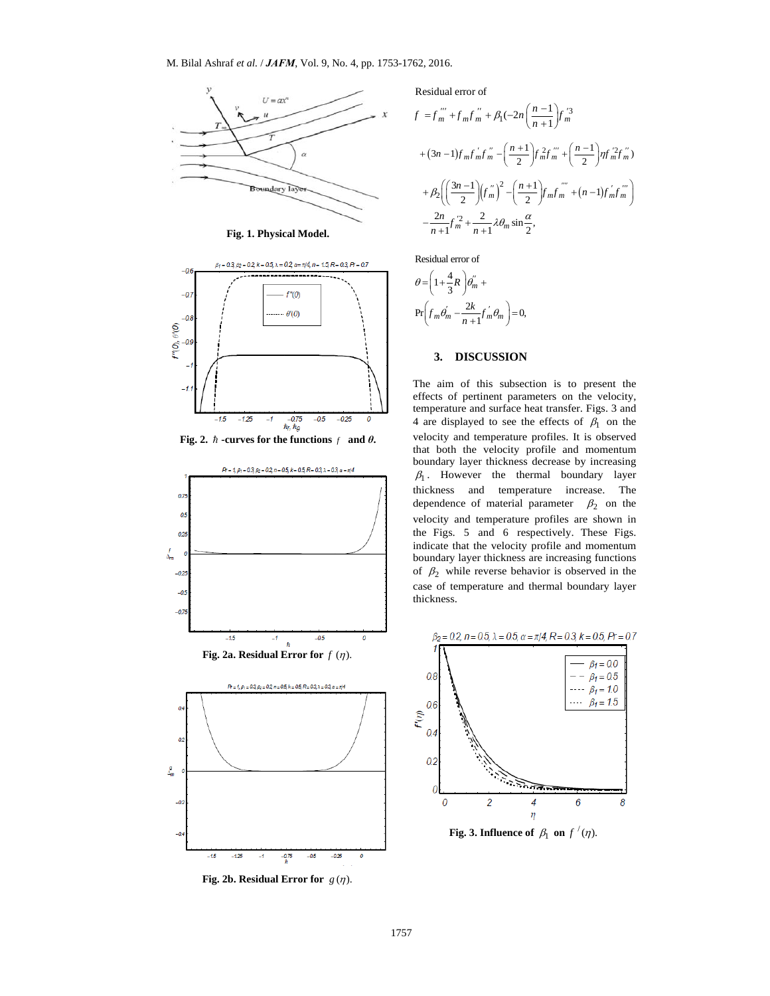

**Fig. 1. Physical Model.** 



**Fig. 2.**  $\hbar$  -curves for the functions  $f$  and  $\theta$ **.** 



Residual error of

$$
f = f_m^{''''} + f_m f_m^{''} + \beta_1 (-2n \left( \frac{n-1}{n+1} \right) f_m^{3}
$$
  
+  $(3n-1) f_m f_m' f_m'' - \left( \frac{n+1}{2} \right) f_m^2 f_m'' + \left( \frac{n-1}{2} \right) \eta f_m^2 f_m''$   
+  $\beta_2 \left( \left( \frac{3n-1}{2} \right) (f_m'')^2 - \left( \frac{n+1}{2} \right) f_m f_m^{''''} + (n-1) f_m' f_m'' \right)$   
-  $\frac{2n}{n+1} f_m'^2 + \frac{2}{n+1} \lambda \theta_m \sin \frac{\alpha}{2},$ 

Residual error of

$$
\theta = \left(1 + \frac{4}{3}R\right)\theta_m'' +
$$
  
Pr $\left(f_m\theta_m' - \frac{2k}{n+1}f_m'\theta_m\right) = 0,$ 

## **3. DISCUSSION**

The aim of this subsection is to present the effects of pertinent parameters on the velocity, temperature and surface heat transfer. Figs. 3 and 4 are displayed to see the effects of  $\beta_1$  on the velocity and temperature profiles. It is observed that both the velocity profile and momentum boundary layer thickness decrease by increasing  $\beta_1$ . However the thermal boundary layer thickness and temperature increase. The dependence of material parameter  $\beta_2$  on the velocity and temperature profiles are shown in the Figs. 5 and 6 respectively. These Figs. indicate that the velocity profile and momentum boundary layer thickness are increasing functions of  $\beta_2$  while reverse behavior is observed in the case of temperature and thermal boundary layer thickness.

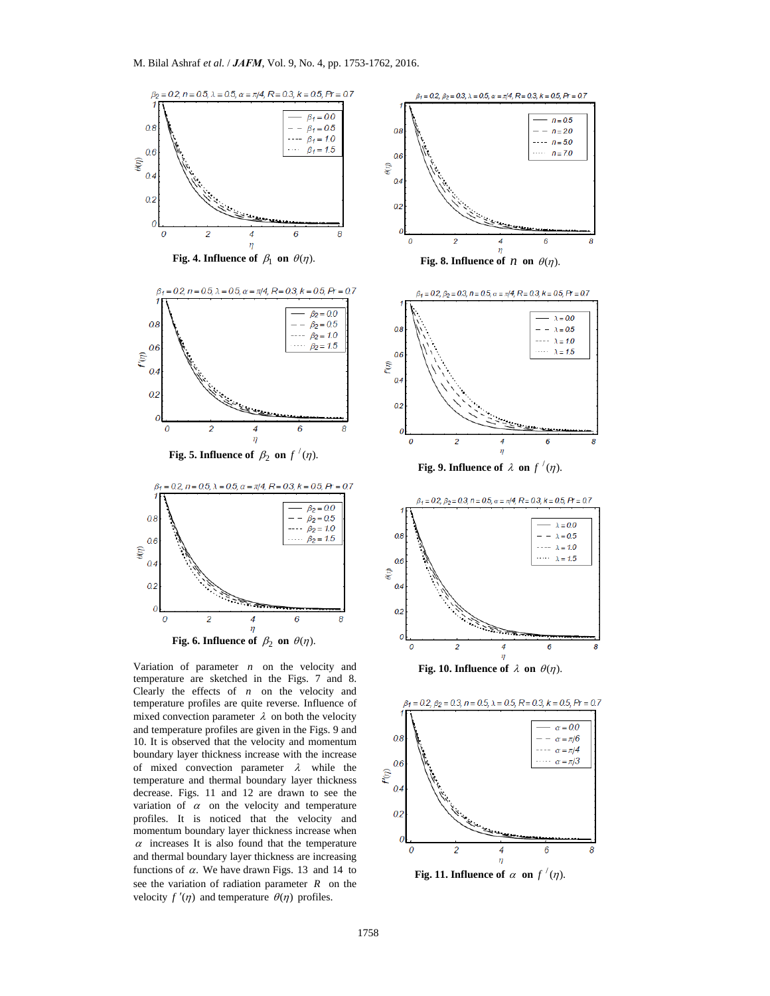

and thermal boundary layer thickness are increasing functions of  $\alpha$ . We have drawn Figs. 13 and 14 to see the variation of radiation parameter *R* on the velocity  $f'(\eta)$  and temperature  $\theta(\eta)$  profiles.



 $n = 0.5$ 

 $- - n = 20$ 

 $--- n=50$ 

 $\cdots$   $n = 7.0$ 

6

4

**Fig. 11. Influence of**  $\alpha$  on  $f'(\eta)$ .

6

8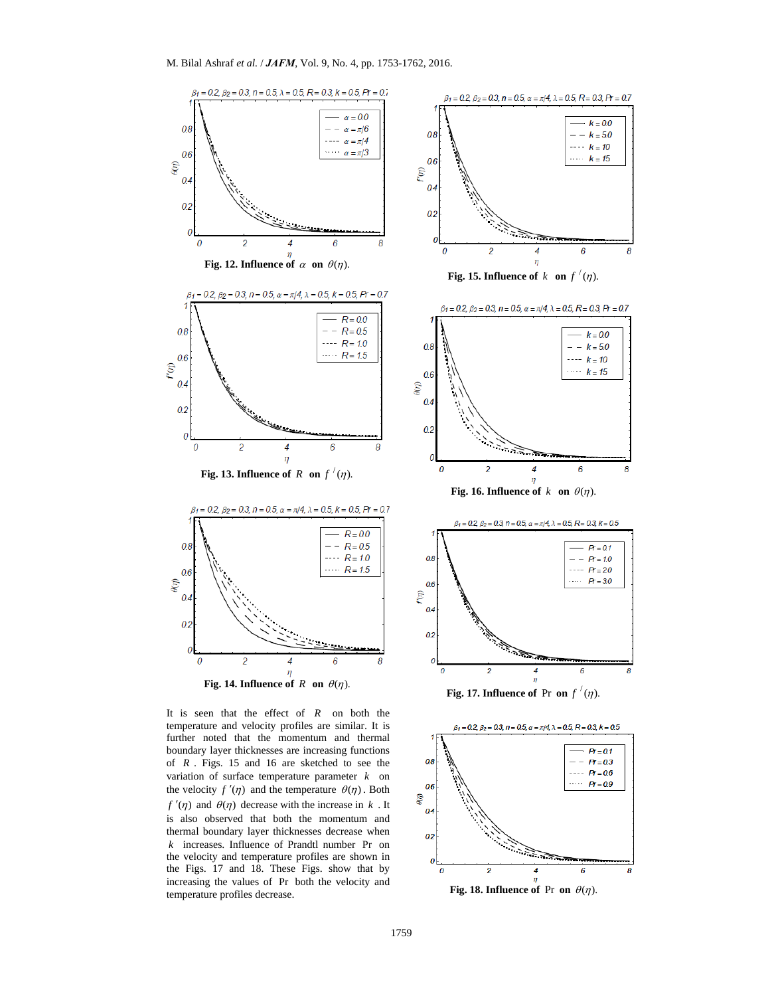

It is seen that the effect of *R* on both the temperature and velocity profiles are similar. It is further noted that the momentum and thermal boundary layer thicknesses are increasing functions of *R* . Figs. 15 and 16 are sketched to see the variation of surface temperature parameter *k* on the velocity  $f'(\eta)$  and the temperature  $\theta(\eta)$ . Both  $f'(\eta)$  and  $\theta(\eta)$  decrease with the increase in *k*. It is also observed that both the momentum and thermal boundary layer thicknesses decrease when *k* increases. Influence of Prandtl number Pr on the velocity and temperature profiles are shown in the Figs. 17 and 18. These Figs. show that by increasing the values of Pr both the velocity and temperature profiles decrease.





**Fig. 18. Influence of Pr on**  $\theta(\eta)$ **.**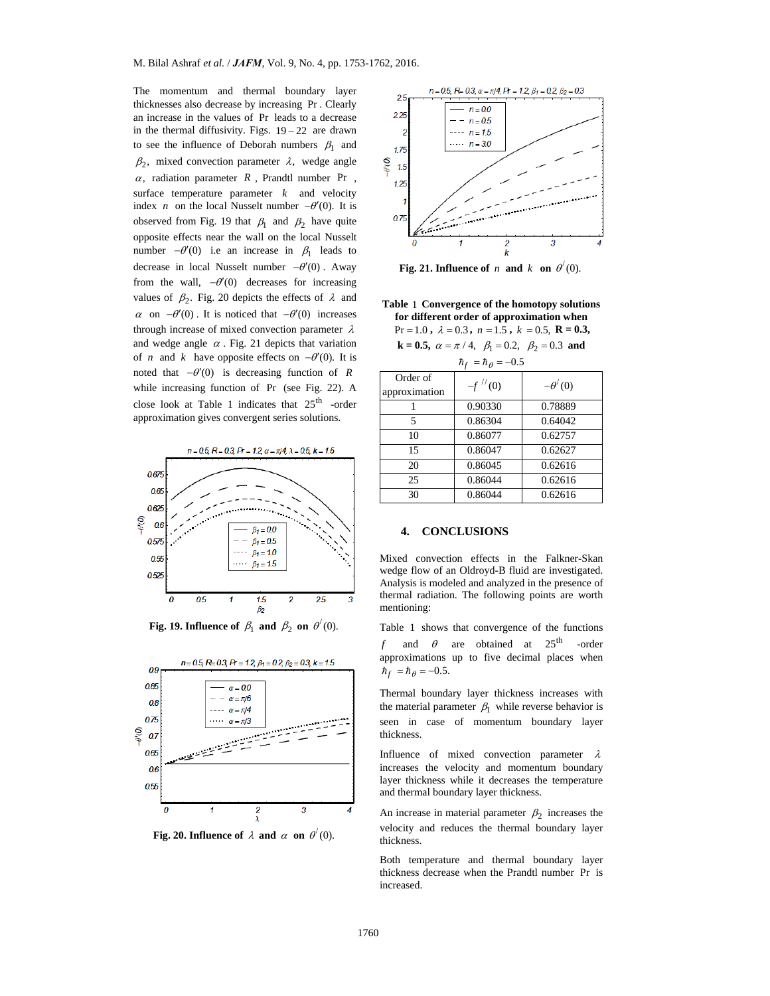The momentum and thermal boundary layer thicknesses also decrease by increasing Pr . Clearly an increase in the values of Pr leads to a decrease in the thermal diffusivity. Figs.  $19-22$  are drawn to see the influence of Deborah numbers  $\beta_1$  and  $\beta_2$ , mixed convection parameter  $\lambda$ , wedge angle  $\alpha$ , radiation parameter  $R$ , Prandtl number Pr, surface temperature parameter  $k$  and velocity index *n* on the local Nusselt number  $-\theta'(0)$ . It is observed from Fig. 19 that  $\beta_1$  and  $\beta_2$  have quite opposite effects near the wall on the local Nusselt number  $-\theta'(0)$  i.e an increase in  $\beta_1$  leads to decrease in local Nusselt number  $-\theta'(0)$ . Away from the wall,  $-\theta'(0)$  decreases for increasing values of  $\beta_2$ . Fig. 20 depicts the effects of  $\lambda$  and  $\alpha$  on  $-\theta'(0)$ . It is noticed that  $-\theta'(0)$  increases through increase of mixed convection parameter  $\lambda$ and wedge angle  $\alpha$ . Fig. 21 depicts that variation of *n* and *k* have opposite effects on  $-\theta'(0)$ . It is noted that  $-\theta'(0)$  is decreasing function of *R* while increasing function of Pr (see Fig. 22). A close look at Table 1 indicates that  $25<sup>th</sup>$  -order approximation gives convergent series solutions.



**Fig. 19. Influence of**  $\beta_1$  **and**  $\beta_2$  **on**  $\theta'(0)$ **.** 



**Fig. 20. Influence of**  $\lambda$  **and**  $\alpha$  **on**  $\theta'(0)$ **.** 



**Fig. 21. Influence of** *n* **and** *k* **on**  $\theta'(0)$ .

**Table** 1 **Convergence of the homotopy solutions for different order of approximation when** 

 $Pr = 1.0$ ,  $\lambda = 0.3$ ,  $n = 1.5$ ,  $k = 0.5$ ,  $R = 0.3$ ,

**k** = **0.5,**  $\alpha = \pi / 4$ ,  $\beta_1 = 0.2$ ,  $\beta_2 = 0.3$  **and** 

| $\hbar_f = \hbar_\theta = -0.5$ |              |               |  |  |
|---------------------------------|--------------|---------------|--|--|
| Order of                        | $-f$ $''(0)$ | $-\theta'(0)$ |  |  |
| approximation                   |              |               |  |  |
|                                 | 0.90330      | 0.78889       |  |  |
| 5                               | 0.86304      | 0.64042       |  |  |
| 10                              | 0.86077      | 0.62757       |  |  |
| 15                              | 0.86047      | 0.62627       |  |  |
| 20                              | 0.86045      | 0.62616       |  |  |
| 25                              | 0.86044      | 0.62616       |  |  |
| 30                              | 0.86044      | 0.62616       |  |  |

# **4. CONCLUSIONS**

Mixed convection effects in the Falkner-Skan wedge flow of an Oldroyd-B fluid are investigated. Analysis is modeled and analyzed in the presence of thermal radiation. The following points are worth mentioning:

Table 1 shows that convergence of the functions *f* and  $\theta$  are obtained at  $25^{\text{th}}$  -order approximations up to five decimal places when  $\hbar_f = \hbar_\theta = -0.5$ .

Thermal boundary layer thickness increases with the material parameter  $\beta_1$  while reverse behavior is seen in case of momentum boundary layer thickness.

Influence of mixed convection parameter  $\lambda$ increases the velocity and momentum boundary layer thickness while it decreases the temperature and thermal boundary layer thickness.

An increase in material parameter  $\beta_2$  increases the velocity and reduces the thermal boundary layer thickness.

Both temperature and thermal boundary layer thickness decrease when the Prandtl number Pr is increased.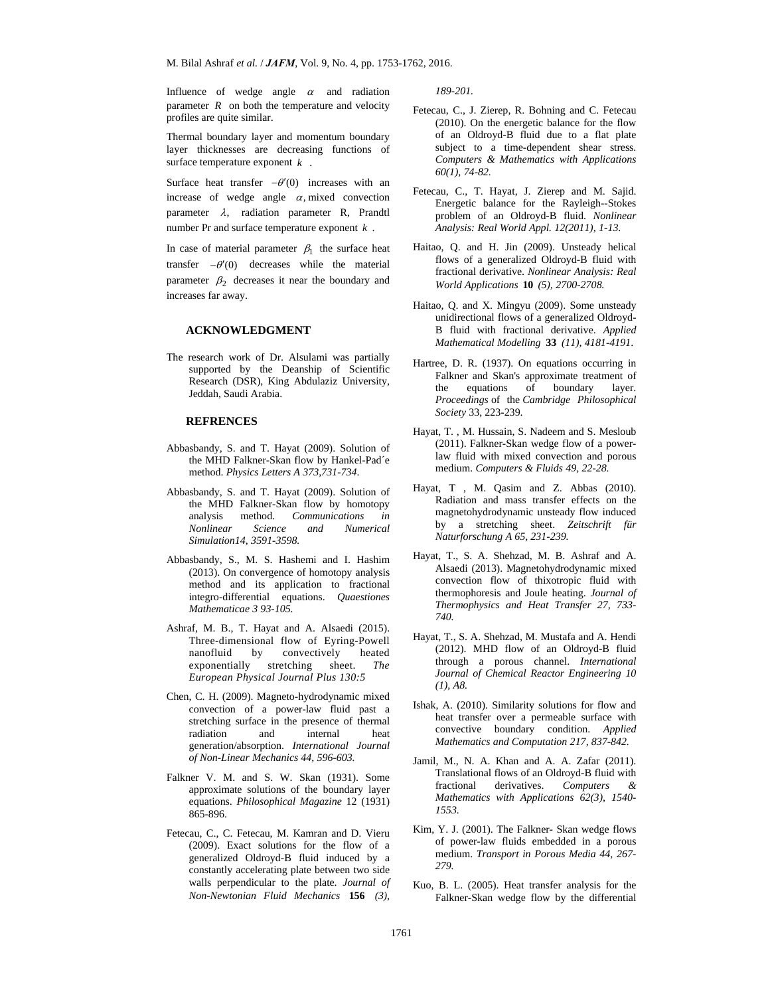Influence of wedge angle  $\alpha$  and radiation parameter  $R$  on both the temperature and velocity profiles are quite similar.

Thermal boundary layer and momentum boundary layer thicknesses are decreasing functions of surface temperature exponent *k* .

Surface heat transfer  $-\theta'(0)$  increases with an increase of wedge angle  $\alpha$ , mixed convection parameter  $\lambda$ , radiation parameter R, Prandtl number Pr and surface temperature exponent *k* .

In case of material parameter  $\beta_1$  the surface heat transfer  $-\theta'(0)$  decreases while the material parameter  $\beta_2$  decreases it near the boundary and increases far away.

### **ACKNOWLEDGMENT**

The research work of Dr. Alsulami was partially supported by the Deanship of Scientific Research (DSR), King Abdulaziz University, Jeddah, Saudi Arabia.

#### **REFRENCES**

- Abbasbandy, S. and T. Hayat (2009). Solution of the MHD Falkner-Skan flow by Hankel-Pad´e method. *Physics Letters A 373,731-734*.
- Abbasbandy, S. and T. Hayat (2009). Solution of the MHD Falkner-Skan flow by homotopy analysis method. *Communications in Nonlinear Science and Numerical Simulation14, 3591-3598.*
- Abbasbandy, S., M. S. Hashemi and I. Hashim (2013). On convergence of homotopy analysis method and its application to fractional integro-differential equations. *Quaestiones Mathematicae 3 93-105.*
- Ashraf, M. B., T. Hayat and A. Alsaedi (2015). Three-dimensional flow of Eyring-Powell nanofluid by convectively heated exponentially stretching sheet. *The European Physical Journal Plus 130:5*
- Chen, C. H. (2009). Magneto-hydrodynamic mixed convection of a power-law fluid past a stretching surface in the presence of thermal radiation and internal heat generation/absorption. *International Journal of Non-Linear Mechanics 44, 596-603.*
- Falkner V. M. and S. W. Skan (1931). Some approximate solutions of the boundary layer equations. *Philosophical Magazine* 12 (1931) 865-896.
- Fetecau, C., C. Fetecau, M. Kamran and D. Vieru (2009). Exact solutions for the flow of a generalized Oldroyd-B fluid induced by a constantly accelerating plate between two side walls perpendicular to the plate. *Journal of Non-Newtonian Fluid Mechanics* **156** *(3),*

*189-201.* 

- Fetecau, C., J. Zierep, R. Bohning and C. Fetecau (2010). On the energetic balance for the flow of an Oldroyd-B fluid due to a flat plate subject to a time-dependent shear stress. *Computers & Mathematics with Applications 60(1), 74-82.*
- Fetecau, C., T. Hayat, J. Zierep and M. Sajid. Energetic balance for the Rayleigh--Stokes problem of an Oldroyd-B fluid. *Nonlinear Analysis: Real World Appl. 12(2011), 1-13.*
- Haitao, Q. and H. Jin (2009). Unsteady helical flows of a generalized Oldroyd-B fluid with fractional derivative. *Nonlinear Analysis: Real World Applications* **10** *(5), 2700-2708.*
- Haitao, Q. and X. Mingyu (2009). Some unsteady unidirectional flows of a generalized Oldroyd-B fluid with fractional derivative. *Applied Mathematical Modelling* **33** *(11), 4181-4191*.
- Hartree, D. R. (1937). On equations occurring in Falkner and Skan's approximate treatment of the equations of boundary layer. *Proceedings* of the *Cambridge Philosophical Society* 33, 223-239.
- Hayat, T. , M. Hussain, S. Nadeem and S. Mesloub (2011). Falkner-Skan wedge flow of a powerlaw fluid with mixed convection and porous medium. *Computers & Fluids 49, 22-28.*
- Hayat, T , M. Qasim and Z. Abbas (2010). Radiation and mass transfer effects on the magnetohydrodynamic unsteady flow induced by a stretching sheet. *Zeitschrift für Naturforschung A 65, 231-239.*
- Hayat, T., S. A. Shehzad, M. B. Ashraf and A. Alsaedi (2013). Magnetohydrodynamic mixed convection flow of thixotropic fluid with thermophoresis and Joule heating. *Journal of Thermophysics and Heat Transfer 27, 733- 740.*
- Hayat, T., S. A. Shehzad, M. Mustafa and A. Hendi (2012). MHD flow of an Oldroyd-B fluid through a porous channel. *International Journal of Chemical Reactor Engineering 10 (1), A8.*
- Ishak, A. (2010). Similarity solutions for flow and heat transfer over a permeable surface with convective boundary condition. *Applied Mathematics and Computation 217, 837-842.*
- Jamil, M., N. A. Khan and A. A. Zafar (2011). Translational flows of an Oldroyd-B fluid with fractional derivatives. *Computers & Mathematics with Applications 62(3), 1540- 1553.*
- Kim, Y. J. (2001). The Falkner- Skan wedge flows of power-law fluids embedded in a porous medium. *Transport in Porous Media 44, 267- 279.*
- Kuo, B. L. (2005). Heat transfer analysis for the Falkner-Skan wedge flow by the differential